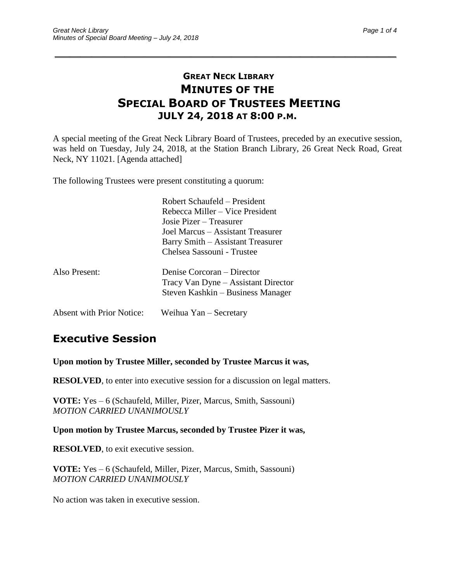### **GREAT NECK LIBRARY MINUTES OF THE SPECIAL BOARD OF TRUSTEES MEETING JULY 24, 2018 AT 8:00 P.M.**

\_\_\_\_\_\_\_\_\_\_\_\_\_\_\_\_\_\_\_\_\_\_\_\_\_\_\_\_\_\_\_\_\_\_\_\_\_\_\_\_\_\_\_\_\_\_\_\_\_\_\_\_\_\_\_\_\_\_\_\_\_\_\_\_\_\_\_\_\_\_\_\_\_\_\_\_\_\_\_\_\_\_\_\_\_\_\_\_\_\_\_\_\_

A special meeting of the Great Neck Library Board of Trustees, preceded by an executive session, was held on Tuesday, July 24, 2018, at the Station Branch Library, 26 Great Neck Road, Great Neck, NY 11021. [Agenda attached]

The following Trustees were present constituting a quorum:

|                                  | Robert Schaufeld – President<br>Rebecca Miller – Vice President<br>Josie Pizer – Treasurer             |
|----------------------------------|--------------------------------------------------------------------------------------------------------|
|                                  | Joel Marcus - Assistant Treasurer<br>Barry Smith – Assistant Treasurer<br>Chelsea Sassouni - Trustee   |
| Also Present:                    | Denise Corcoran – Director<br>Tracy Van Dyne – Assistant Director<br>Steven Kashkin – Business Manager |
| <b>Absent with Prior Notice:</b> | Weihua Yan – Secretary                                                                                 |

### **Executive Session**

**Upon motion by Trustee Miller, seconded by Trustee Marcus it was,**

**RESOLVED**, to enter into executive session for a discussion on legal matters.

**VOTE:** Yes – 6 (Schaufeld, Miller, Pizer, Marcus, Smith, Sassouni) *MOTION CARRIED UNANIMOUSLY*

**Upon motion by Trustee Marcus, seconded by Trustee Pizer it was,**

**RESOLVED**, to exit executive session.

**VOTE:** Yes – 6 (Schaufeld, Miller, Pizer, Marcus, Smith, Sassouni) *MOTION CARRIED UNANIMOUSLY*

No action was taken in executive session.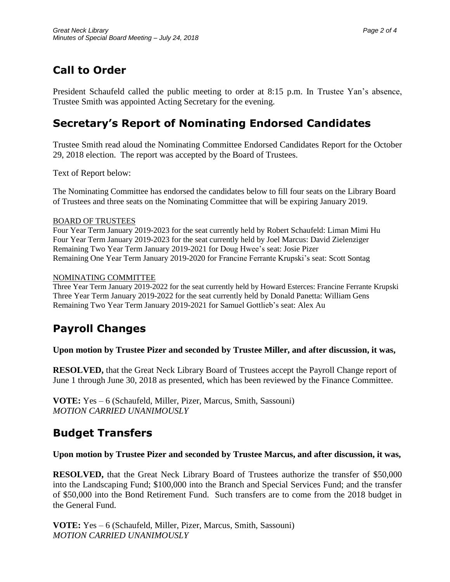# **Call to Order**

President Schaufeld called the public meeting to order at 8:15 p.m. In Trustee Yan's absence, Trustee Smith was appointed Acting Secretary for the evening.

## **Secretary's Report of Nominating Endorsed Candidates**

Trustee Smith read aloud the Nominating Committee Endorsed Candidates Report for the October 29, 2018 election. The report was accepted by the Board of Trustees.

Text of Report below:

The Nominating Committee has endorsed the candidates below to fill four seats on the Library Board of Trustees and three seats on the Nominating Committee that will be expiring January 2019.

### BOARD OF TRUSTEES

Four Year Term January 2019-2023 for the seat currently held by Robert Schaufeld: Liman Mimi Hu Four Year Term January 2019-2023 for the seat currently held by Joel Marcus: David Zielenziger Remaining Two Year Term January 2019-2021 for Doug Hwee's seat: Josie Pizer Remaining One Year Term January 2019-2020 for Francine Ferrante Krupski's seat: Scott Sontag

#### NOMINATING COMMITTEE

Three Year Term January 2019-2022 for the seat currently held by Howard Esterces: Francine Ferrante Krupski Three Year Term January 2019-2022 for the seat currently held by Donald Panetta: William Gens Remaining Two Year Term January 2019-2021 for Samuel Gottlieb's seat: Alex Au

### **Payroll Changes**

**Upon motion by Trustee Pizer and seconded by Trustee Miller, and after discussion, it was,**

**RESOLVED,** that the Great Neck Library Board of Trustees accept the Payroll Change report of June 1 through June 30, 2018 as presented, which has been reviewed by the Finance Committee.

**VOTE:** Yes – 6 (Schaufeld, Miller, Pizer, Marcus, Smith, Sassouni) *MOTION CARRIED UNANIMOUSLY*

### **Budget Transfers**

### **Upon motion by Trustee Pizer and seconded by Trustee Marcus, and after discussion, it was,**

**RESOLVED,** that the Great Neck Library Board of Trustees authorize the transfer of \$50,000 into the Landscaping Fund; \$100,000 into the Branch and Special Services Fund; and the transfer of \$50,000 into the Bond Retirement Fund. Such transfers are to come from the 2018 budget in the General Fund.

**VOTE:** Yes – 6 (Schaufeld, Miller, Pizer, Marcus, Smith, Sassouni) *MOTION CARRIED UNANIMOUSLY*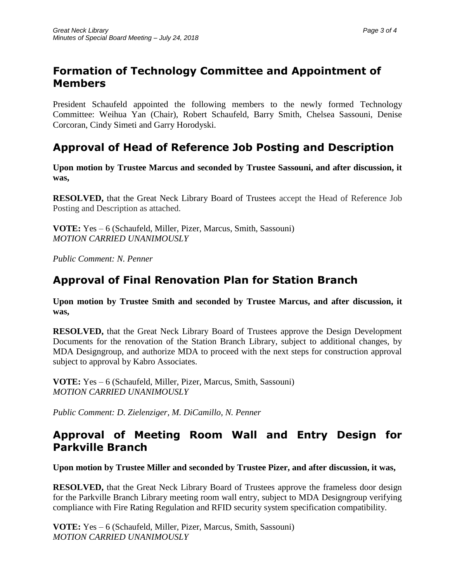## **Formation of Technology Committee and Appointment of Members**

President Schaufeld appointed the following members to the newly formed Technology Committee: Weihua Yan (Chair), Robert Schaufeld, Barry Smith, Chelsea Sassouni, Denise Corcoran, Cindy Simeti and Garry Horodyski.

## **Approval of Head of Reference Job Posting and Description**

**Upon motion by Trustee Marcus and seconded by Trustee Sassouni, and after discussion, it was,**

**RESOLVED,** that the Great Neck Library Board of Trustees accept the Head of Reference Job Posting and Description as attached.

**VOTE:** Yes – 6 (Schaufeld, Miller, Pizer, Marcus, Smith, Sassouni) *MOTION CARRIED UNANIMOUSLY*

*Public Comment: N. Penner* 

## **Approval of Final Renovation Plan for Station Branch**

**Upon motion by Trustee Smith and seconded by Trustee Marcus, and after discussion, it was,**

**RESOLVED,** that the Great Neck Library Board of Trustees approve the Design Development Documents for the renovation of the Station Branch Library, subject to additional changes, by MDA Designgroup, and authorize MDA to proceed with the next steps for construction approval subject to approval by Kabro Associates.

**VOTE:** Yes – 6 (Schaufeld, Miller, Pizer, Marcus, Smith, Sassouni) *MOTION CARRIED UNANIMOUSLY*

*Public Comment: D. Zielenziger, M. DiCamillo, N. Penner*

### **Approval of Meeting Room Wall and Entry Design for Parkville Branch**

**Upon motion by Trustee Miller and seconded by Trustee Pizer, and after discussion, it was,**

**RESOLVED,** that the Great Neck Library Board of Trustees approve the frameless door design for the Parkville Branch Library meeting room wall entry, subject to MDA Designgroup verifying compliance with Fire Rating Regulation and RFID security system specification compatibility.

**VOTE:** Yes – 6 (Schaufeld, Miller, Pizer, Marcus, Smith, Sassouni) *MOTION CARRIED UNANIMOUSLY*